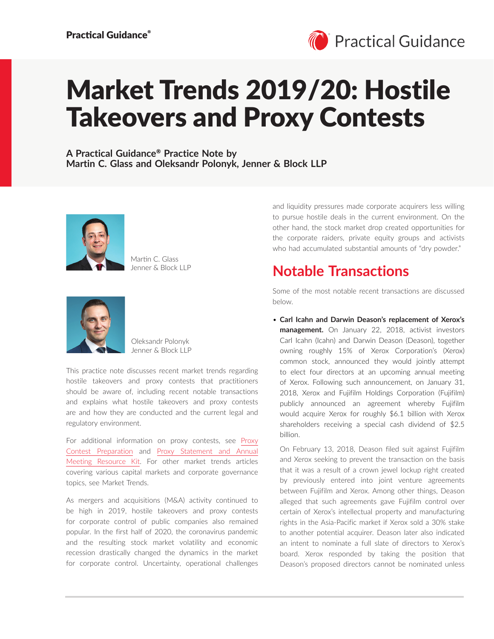

# Market Trends 2019/20: Hostile Takeovers and Proxy Contests

**A Practical Guidance**® **Practice Note by Martin C. Glass and Oleksandr Polonyk, Jenner & Block LLP**



Martin C. Glass Jenner & Block LLP



Oleksandr Polonyk Jenner & Block LLP

This practice note discusses recent market trends regarding hostile takeovers and proxy contests that practitioners should be aware of, including recent notable transactions and explains what hostile takeovers and proxy contests are and how they are conducted and the current legal and regulatory environment.

For additional information on proxy contests, see [Proxy](https://advance.lexis.com/open/document/lpadocument/?pdmfid=1000522&pddocfullpath=%2Fshared%2Fdocument%2Fanalytical-materials%2Furn%3AcontentItem%3A576Y-2CH1-DXPM-S07C-00000-00&pdcontentcomponentid=101206&pdteaserkey=sr0&pditab=allpods&ecomp=xtrg&earg=sr0)  [Contest Preparation](https://advance.lexis.com/open/document/lpadocument/?pdmfid=1000522&pddocfullpath=%2Fshared%2Fdocument%2Fanalytical-materials%2Furn%3AcontentItem%3A576Y-2CH1-DXPM-S07C-00000-00&pdcontentcomponentid=101206&pdteaserkey=sr0&pditab=allpods&ecomp=xtrg&earg=sr0) and [Proxy Statement and Annual](https://advance.lexis.com/open/document/lpadocument/?pdmfid=1000522&pddocfullpath=%2Fshared%2Fdocument%2Fanalytical-materials%2Furn%3AcontentItem%3A5MM6-CB71-K054-G29V-00000-00&pdcontentcomponentid=101206&pdteaserkey=sr0&pditab=allpods&ecomp=xtrg&earg=sr0)  [Meeting Resource Kit](https://advance.lexis.com/open/document/lpadocument/?pdmfid=1000522&pddocfullpath=%2Fshared%2Fdocument%2Fanalytical-materials%2Furn%3AcontentItem%3A5MM6-CB71-K054-G29V-00000-00&pdcontentcomponentid=101206&pdteaserkey=sr0&pditab=allpods&ecomp=xtrg&earg=sr0). For other market trends articles covering various capital markets and corporate governance topics, see Market Trends.

As mergers and acquisitions (M&A) activity continued to be high in 2019, hostile takeovers and proxy contests for corporate control of public companies also remained popular. In the first half of 2020, the coronavirus pandemic and the resulting stock market volatility and economic recession drastically changed the dynamics in the market for corporate control. Uncertainty, operational challenges

and liquidity pressures made corporate acquirers less willing to pursue hostile deals in the current environment. On the other hand, the stock market drop created opportunities for the corporate raiders, private equity groups and activists who had accumulated substantial amounts of "dry powder."

# **Notable Transactions**

Some of the most notable recent transactions are discussed below.

• **Carl Icahn and Darwin Deason's replacement of Xerox's management.** On January 22, 2018, activist investors Carl Icahn (Icahn) and Darwin Deason (Deason), together owning roughly 15% of Xerox Corporation's (Xerox) common stock, announced they would jointly attempt to elect four directors at an upcoming annual meeting of Xerox. Following such announcement, on January 31, 2018, Xerox and Fujifilm Holdings Corporation (Fujifilm) publicly announced an agreement whereby Fujifilm would acquire Xerox for roughly \$6.1 billion with Xerox shareholders receiving a special cash dividend of \$2.5 billion.

On February 13, 2018, Deason filed suit against Fujifilm and Xerox seeking to prevent the transaction on the basis that it was a result of a crown jewel lockup right created by previously entered into joint venture agreements between Fujifilm and Xerox. Among other things, Deason alleged that such agreements gave Fujifilm control over certain of Xerox's intellectual property and manufacturing rights in the Asia-Pacific market if Xerox sold a 30% stake to another potential acquirer. Deason later also indicated an intent to nominate a full slate of directors to Xerox's board. Xerox responded by taking the position that Deason's proposed directors cannot be nominated unless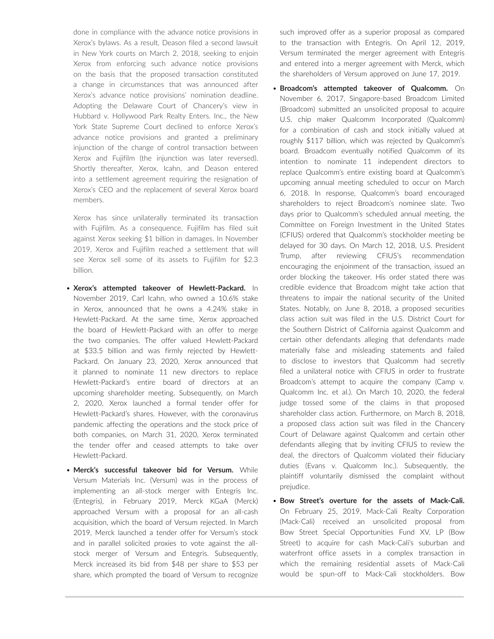done in compliance with the advance notice provisions in Xerox's bylaws. As a result, Deason filed a second lawsuit in New York courts on March 2, 2018, seeking to enjoin Xerox from enforcing such advance notice provisions on the basis that the proposed transaction constituted a change in circumstances that was announced after Xerox's advance notice provisions' nomination deadline. Adopting the Delaware Court of Chancery's view in Hubbard v. Hollywood Park Realty Enters. Inc., the New York State Supreme Court declined to enforce Xerox's advance notice provisions and granted a preliminary injunction of the change of control transaction between Xerox and Fujifilm (the injunction was later reversed). Shortly thereafter, Xerox, Icahn, and Deason entered into a settlement agreement requiring the resignation of Xerox's CEO and the replacement of several Xerox board members.

Xerox has since unilaterally terminated its transaction with Fujifilm. As a consequence, Fujifilm has filed suit against Xerox seeking \$1 billion in damages. In November 2019, Xerox and Fujifilm reached a settlement that will see Xerox sell some of its assets to Fujifilm for \$2.3 billion.

- **Xerox's attempted takeover of Hewlett-Packard.** In November 2019, Carl Icahn, who owned a 10.6% stake in Xerox, announced that he owns a 4.24% stake in Hewlett-Packard. At the same time, Xerox approached the board of Hewlett-Packard with an offer to merge the two companies. The offer valued Hewlett-Packard at \$33.5 billion and was firmly rejected by Hewlett-Packard. On January 23, 2020, Xerox announced that it planned to nominate 11 new directors to replace Hewlett-Packard's entire board of directors at an upcoming shareholder meeting. Subsequently, on March 2, 2020, Xerox launched a formal tender offer for Hewlett-Packard's shares. However, with the coronavirus pandemic affecting the operations and the stock price of both companies, on March 31, 2020, Xerox terminated the tender offer and ceased attempts to take over Hewlett-Packard.
- **Merck's successful takeover bid for Versum.** While Versum Materials Inc. (Versum) was in the process of implementing an all-stock merger with Entegris Inc. (Entegris), in February 2019, Merck KGaA (Merck) approached Versum with a proposal for an all-cash acquisition, which the board of Versum rejected. In March 2019, Merck launched a tender offer for Versum's stock and in parallel solicited proxies to vote against the allstock merger of Versum and Entegris. Subsequently, Merck increased its bid from \$48 per share to \$53 per share, which prompted the board of Versum to recognize

such improved offer as a superior proposal as compared to the transaction with Entegris. On April 12, 2019, Versum terminated the merger agreement with Entegris and entered into a merger agreement with Merck, which the shareholders of Versum approved on June 17, 2019.

- **Broadcom's attempted takeover of Qualcomm.** On November 6, 2017, Singapore-based Broadcom Limited (Broadcom) submitted an unsolicited proposal to acquire U.S. chip maker Qualcomm Incorporated (Qualcomm) for a combination of cash and stock initially valued at roughly \$117 billion, which was rejected by Qualcomm's board. Broadcom eventually notified Qualcomm of its intention to nominate 11 independent directors to replace Qualcomm's entire existing board at Qualcomm's upcoming annual meeting scheduled to occur on March 6, 2018. In response, Qualcomm's board encouraged shareholders to reject Broadcom's nominee slate. Two days prior to Qualcomm's scheduled annual meeting, the Committee on Foreign Investment in the United States (CFIUS) ordered that Qualcomm's stockholder meeting be delayed for 30 days. On March 12, 2018, U.S. President Trump, after reviewing CFIUS's recommendation encouraging the enjoinment of the transaction, issued an order blocking the takeover. His order stated there was credible evidence that Broadcom might take action that threatens to impair the national security of the United States. Notably, on June 8, 2018, a proposed securities class action suit was filed in the U.S. District Court for the Southern District of California against Qualcomm and certain other defendants alleging that defendants made materially false and misleading statements and failed to disclose to investors that Qualcomm had secretly filed a unilateral notice with CFIUS in order to frustrate Broadcom's attempt to acquire the company (Camp v. Qualcomm Inc. et al.). On March 10, 2020, the federal judge tossed some of the claims in that proposed shareholder class action. Furthermore, on March 8, 2018, a proposed class action suit was filed in the Chancery Court of Delaware against Qualcomm and certain other defendants alleging that by inviting CFIUS to review the deal, the directors of Qualcomm violated their fiduciary duties (Evans v. Qualcomm Inc.). Subsequently, the plaintiff voluntarily dismissed the complaint without prejudice.
- **Bow Street's overture for the assets of Mack-Cali.**  On February 25, 2019, Mack-Cali Realty Corporation (Mack-Cali) received an unsolicited proposal from Bow Street Special Opportunities Fund XV, LP (Bow Street) to acquire for cash Mack-Cali's suburban and waterfront office assets in a complex transaction in which the remaining residential assets of Mack-Cali would be spun-off to Mack-Cali stockholders. Bow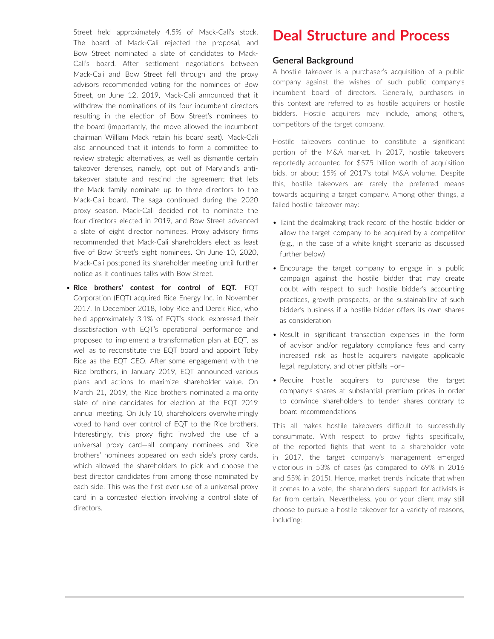Street held approximately 4.5% of Mack-Cali's stock. The board of Mack-Cali rejected the proposal, and Bow Street nominated a slate of candidates to Mack-Cali's board. After settlement negotiations between Mack-Cali and Bow Street fell through and the proxy advisors recommended voting for the nominees of Bow Street, on June 12, 2019, Mack-Cali announced that it withdrew the nominations of its four incumbent directors resulting in the election of Bow Street's nominees to the board (importantly, the move allowed the incumbent chairman William Mack retain his board seat). Mack-Cali also announced that it intends to form a committee to review strategic alternatives, as well as dismantle certain takeover defenses, namely, opt out of Maryland's antitakeover statute and rescind the agreement that lets the Mack family nominate up to three directors to the Mack-Cali board. The saga continued during the 2020 proxy season. Mack-Cali decided not to nominate the four directors elected in 2019, and Bow Street advanced a slate of eight director nominees. Proxy advisory firms recommended that Mack-Cali shareholders elect as least five of Bow Street's eight nominees. On June 10, 2020, Mack-Cali postponed its shareholder meeting until further notice as it continues talks with Bow Street.

• **Rice brothers' contest for control of EQT.** EQT Corporation (EQT) acquired Rice Energy Inc. in November 2017. In December 2018, Toby Rice and Derek Rice, who held approximately 3.1% of EQT's stock, expressed their dissatisfaction with EQT's operational performance and proposed to implement a transformation plan at EQT, as well as to reconstitute the EQT board and appoint Toby Rice as the EQT CEO. After some engagement with the Rice brothers, in January 2019, EQT announced various plans and actions to maximize shareholder value. On March 21, 2019, the Rice brothers nominated a majority slate of nine candidates for election at the EQT 2019 annual meeting. On July 10, shareholders overwhelmingly voted to hand over control of EQT to the Rice brothers. Interestingly, this proxy fight involved the use of a universal proxy card—all company nominees and Rice brothers' nominees appeared on each side's proxy cards, which allowed the shareholders to pick and choose the best director candidates from among those nominated by each side. This was the first ever use of a universal proxy card in a contested election involving a control slate of directors.

## **Deal Structure and Process**

#### **General Background**

A hostile takeover is a purchaser's acquisition of a public company against the wishes of such public company's incumbent board of directors. Generally, purchasers in this context are referred to as hostile acquirers or hostile bidders. Hostile acquirers may include, among others, competitors of the target company.

Hostile takeovers continue to constitute a significant portion of the M&A market. In 2017, hostile takeovers reportedly accounted for \$575 billion worth of acquisition bids, or about 15% of 2017's total M&A volume. Despite this, hostile takeovers are rarely the preferred means towards acquiring a target company. Among other things, a failed hostile takeover may:

- Taint the dealmaking track record of the hostile bidder or allow the target company to be acquired by a competitor (e.g., in the case of a white knight scenario as discussed further below)
- Encourage the target company to engage in a public campaign against the hostile bidder that may create doubt with respect to such hostile bidder's accounting practices, growth prospects, or the sustainability of such bidder's business if a hostile bidder offers its own shares as consideration
- Result in significant transaction expenses in the form of advisor and/or regulatory compliance fees and carry increased risk as hostile acquirers navigate applicable legal, regulatory, and other pitfalls –or–
- Require hostile acquirers to purchase the target company's shares at substantial premium prices in order to convince shareholders to tender shares contrary to board recommendations

This all makes hostile takeovers difficult to successfully consummate. With respect to proxy fights specifically, of the reported fights that went to a shareholder vote in 2017, the target company's management emerged victorious in 53% of cases (as compared to 69% in 2016 and 55% in 2015). Hence, market trends indicate that when it comes to a vote, the shareholders' support for activists is far from certain. Nevertheless, you or your client may still choose to pursue a hostile takeover for a variety of reasons, including: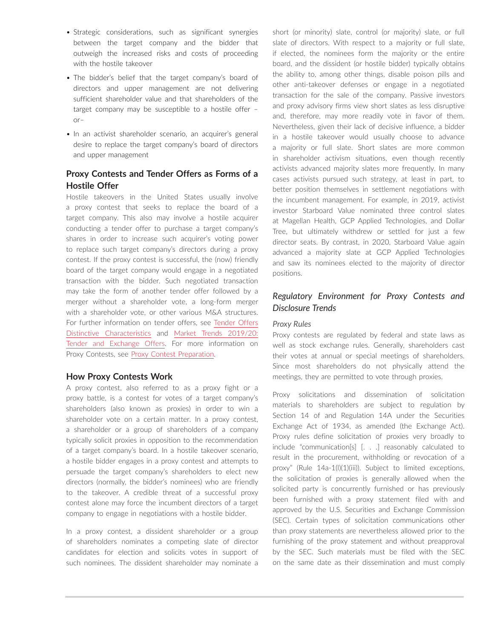- Strategic considerations, such as significant synergies between the target company and the bidder that outweigh the increased risks and costs of proceeding with the hostile takeover
- The bidder's belief that the target company's board of directors and upper management are not delivering sufficient shareholder value and that shareholders of the target company may be susceptible to a hostile offer – or–
- In an activist shareholder scenario, an acquirer's general desire to replace the target company's board of directors and upper management

### **Proxy Contests and Tender Offers as Forms of a Hostile Offer**

Hostile takeovers in the United States usually involve a proxy contest that seeks to replace the board of a target company. This also may involve a hostile acquirer conducting a tender offer to purchase a target company's shares in order to increase such acquirer's voting power to replace such target company's directors during a proxy contest. If the proxy contest is successful, the (now) friendly board of the target company would engage in a negotiated transaction with the bidder. Such negotiated transaction may take the form of another tender offer followed by a merger without a shareholder vote, a long-form merger with a shareholder vote, or other various M&A structures. For further information on tender offers, see [Tender Offers](https://advance.lexis.com/open/document/lpadocument/?pdmfid=1000522&pddocfullpath=%2Fshared%2Fdocument%2Fanalytical-materials%2Furn%3AcontentItem%3A5M8J-5MY1-JFSV-G4TK-00000-00&pdcontentcomponentid=101201&pdteaserkey=sr0&pditab=allpods&ecomp=xtrg&earg=sr0)  [Distinctive Characteristics](https://advance.lexis.com/open/document/lpadocument/?pdmfid=1000522&pddocfullpath=%2Fshared%2Fdocument%2Fanalytical-materials%2Furn%3AcontentItem%3A5M8J-5MY1-JFSV-G4TK-00000-00&pdcontentcomponentid=101201&pdteaserkey=sr0&pditab=allpods&ecomp=xtrg&earg=sr0) and [Market Trends 2019/20:](https://advance.lexis.com/open/document/lpadocument/?pdmfid=1000522&pddocfullpath=%2Fshared%2Fdocument%2Fanalytical-materials%2Furn%3AcontentItem%3A601R-N8C1-F4NT-X2X6-00000-00&pdcontentcomponentid=101206&pdteaserkey=sr0&pditab=allpods&ecomp=xtrg&earg=sr0)  [Tender and Exchange Offers](https://advance.lexis.com/open/document/lpadocument/?pdmfid=1000522&pddocfullpath=%2Fshared%2Fdocument%2Fanalytical-materials%2Furn%3AcontentItem%3A601R-N8C1-F4NT-X2X6-00000-00&pdcontentcomponentid=101206&pdteaserkey=sr0&pditab=allpods&ecomp=xtrg&earg=sr0). For more information on Proxy Contests, see [Proxy Contest Preparation](https://advance.lexis.com/open/document/lpadocument/?pdmfid=1000522&pddocfullpath=%2Fshared%2Fdocument%2Fanalytical-materials%2Furn%3AcontentItem%3A576Y-2CH1-DXPM-S07C-00000-00&pdcontentcomponentid=101206&pdteaserkey=sr0&pditab=allpods&ecomp=xtrg&earg=sr0).

#### **How Proxy Contests Work**

A proxy contest, also referred to as a proxy fight or a proxy battle, is a contest for votes of a target company's shareholders (also known as proxies) in order to win a shareholder vote on a certain matter. In a proxy contest, a shareholder or a group of shareholders of a company typically solicit proxies in opposition to the recommendation of a target company's board. In a hostile takeover scenario, a hostile bidder engages in a proxy contest and attempts to persuade the target company's shareholders to elect new directors (normally, the bidder's nominees) who are friendly to the takeover. A credible threat of a successful proxy contest alone may force the incumbent directors of a target company to engage in negotiations with a hostile bidder.

In a proxy contest, a dissident shareholder or a group of shareholders nominates a competing slate of director candidates for election and solicits votes in support of such nominees. The dissident shareholder may nominate a short (or minority) slate, control (or majority) slate, or full slate of directors. With respect to a majority or full slate, if elected, the nominees form the majority or the entire board, and the dissident (or hostile bidder) typically obtains the ability to, among other things, disable poison pills and other anti-takeover defenses or engage in a negotiated transaction for the sale of the company. Passive investors and proxy advisory firms view short slates as less disruptive and, therefore, may more readily vote in favor of them. Nevertheless, given their lack of decisive influence, a bidder in a hostile takeover would usually choose to advance a majority or full slate. Short slates are more common in shareholder activism situations, even though recently activists advanced majority slates more frequently. In many cases activists pursued such strategy, at least in part, to better position themselves in settlement negotiations with the incumbent management. For example, in 2019, activist investor Starboard Value nominated three control slates at Magellan Health, GCP Applied Technologies, and Dollar Tree, but ultimately withdrew or settled for just a few director seats. By contrast, in 2020, Starboard Value again advanced a majority slate at GCP Applied Technologies and saw its nominees elected to the majority of director positions.

### *Regulatory Environment for Proxy Contests and Disclosure Trends*

#### *Proxy Rules*

Proxy contests are regulated by federal and state laws as well as stock exchange rules. Generally, shareholders cast their votes at annual or special meetings of shareholders. Since most shareholders do not physically attend the meetings, they are permitted to vote through proxies.

Proxy solicitations and dissemination of solicitation materials to shareholders are subject to regulation by Section 14 of and Regulation 14A under the Securities Exchange Act of 1934, as amended (the Exchange Act). Proxy rules define solicitation of proxies very broadly to include "communication[s] [. . .] reasonably calculated to result in the procurement, withholding or revocation of a proxy" (Rule 14a-1(l)(1)(iii)). Subject to limited exceptions, the solicitation of proxies is generally allowed when the solicited party is concurrently furnished or has previously been furnished with a proxy statement filed with and approved by the U.S. Securities and Exchange Commission (SEC). Certain types of solicitation communications other than proxy statements are nevertheless allowed prior to the furnishing of the proxy statement and without preapproval by the SEC. Such materials must be filed with the SEC on the same date as their dissemination and must comply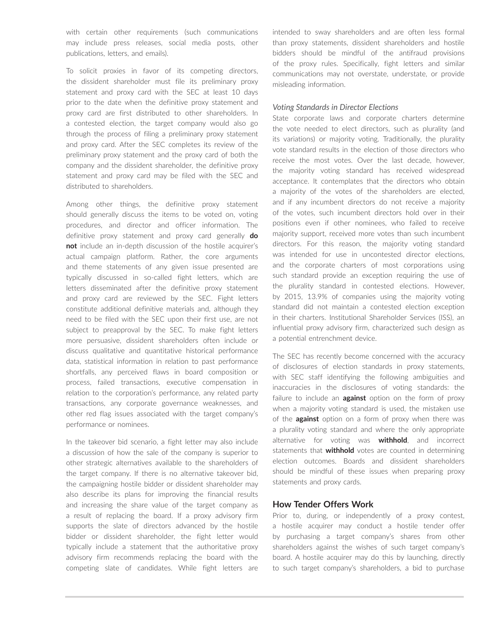with certain other requirements (such communications may include press releases, social media posts, other publications, letters, and emails).

To solicit proxies in favor of its competing directors, the dissident shareholder must file its preliminary proxy statement and proxy card with the SEC at least 10 days prior to the date when the definitive proxy statement and proxy card are first distributed to other shareholders. In a contested election, the target company would also go through the process of filing a preliminary proxy statement and proxy card. After the SEC completes its review of the preliminary proxy statement and the proxy card of both the company and the dissident shareholder, the definitive proxy statement and proxy card may be filed with the SEC and distributed to shareholders.

Among other things, the definitive proxy statement should generally discuss the items to be voted on, voting procedures, and director and officer information. The definitive proxy statement and proxy card generally **do not** include an in-depth discussion of the hostile acquirer's actual campaign platform. Rather, the core arguments and theme statements of any given issue presented are typically discussed in so-called fight letters, which are letters disseminated after the definitive proxy statement and proxy card are reviewed by the SEC. Fight letters constitute additional definitive materials and, although they need to be filed with the SEC upon their first use, are not subject to preapproval by the SEC. To make fight letters more persuasive, dissident shareholders often include or discuss qualitative and quantitative historical performance data, statistical information in relation to past performance shortfalls, any perceived flaws in board composition or process, failed transactions, executive compensation in relation to the corporation's performance, any related party transactions, any corporate governance weaknesses, and other red flag issues associated with the target company's performance or nominees.

In the takeover bid scenario, a fight letter may also include a discussion of how the sale of the company is superior to other strategic alternatives available to the shareholders of the target company. If there is no alternative takeover bid, the campaigning hostile bidder or dissident shareholder may also describe its plans for improving the financial results and increasing the share value of the target company as a result of replacing the board. If a proxy advisory firm supports the slate of directors advanced by the hostile bidder or dissident shareholder, the fight letter would typically include a statement that the authoritative proxy advisory firm recommends replacing the board with the competing slate of candidates. While fight letters are intended to sway shareholders and are often less formal than proxy statements, dissident shareholders and hostile bidders should be mindful of the antifraud provisions of the proxy rules. Specifically, fight letters and similar communications may not overstate, understate, or provide misleading information.

#### *Voting Standards in Director Elections*

State corporate laws and corporate charters determine the vote needed to elect directors, such as plurality (and its variations) or majority voting. Traditionally, the plurality vote standard results in the election of those directors who receive the most votes. Over the last decade, however, the majority voting standard has received widespread acceptance. It contemplates that the directors who obtain a majority of the votes of the shareholders are elected, and if any incumbent directors do not receive a majority of the votes, such incumbent directors hold over in their positions even if other nominees, who failed to receive majority support, received more votes than such incumbent directors. For this reason, the majority voting standard was intended for use in uncontested director elections, and the corporate charters of most corporations using such standard provide an exception requiring the use of the plurality standard in contested elections. However, by 2015, 13.9% of companies using the majority voting standard did not maintain a contested election exception in their charters. Institutional Shareholder Services (ISS), an influential proxy advisory firm, characterized such design as a potential entrenchment device.

The SEC has recently become concerned with the accuracy of disclosures of election standards in proxy statements, with SEC staff identifying the following ambiguities and inaccuracies in the disclosures of voting standards: the failure to include an **against** option on the form of proxy when a majority voting standard is used, the mistaken use of the **against** option on a form of proxy when there was a plurality voting standard and where the only appropriate alternative for voting was **withhold**, and incorrect statements that **withhold** votes are counted in determining election outcomes. Boards and dissident shareholders should be mindful of these issues when preparing proxy statements and proxy cards.

#### **How Tender Offers Work**

Prior to, during, or independently of a proxy contest, a hostile acquirer may conduct a hostile tender offer by purchasing a target company's shares from other shareholders against the wishes of such target company's board. A hostile acquirer may do this by launching, directly to such target company's shareholders, a bid to purchase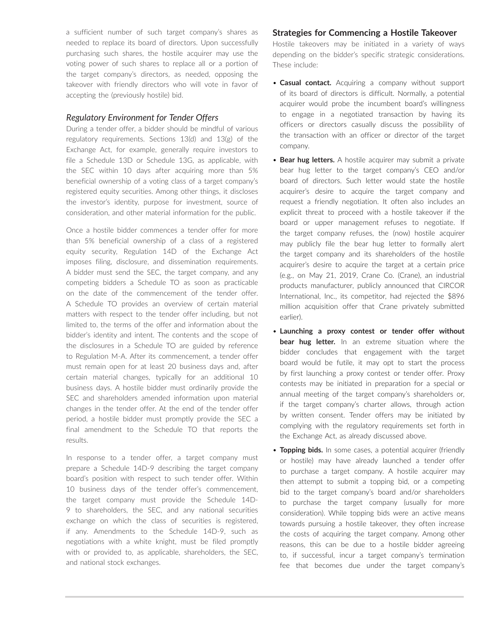a sufficient number of such target company's shares as needed to replace its board of directors. Upon successfully purchasing such shares, the hostile acquirer may use the voting power of such shares to replace all or a portion of the target company's directors, as needed, opposing the takeover with friendly directors who will vote in favor of accepting the (previously hostile) bid.

#### *Regulatory Environment for Tender Offers*

During a tender offer, a bidder should be mindful of various regulatory requirements. Sections 13(d) and 13(g) of the Exchange Act, for example, generally require investors to file a Schedule 13D or Schedule 13G, as applicable, with the SEC within 10 days after acquiring more than 5% beneficial ownership of a voting class of a target company's registered equity securities. Among other things, it discloses the investor's identity, purpose for investment, source of consideration, and other material information for the public.

Once a hostile bidder commences a tender offer for more than 5% beneficial ownership of a class of a registered equity security, Regulation 14D of the Exchange Act imposes filing, disclosure, and dissemination requirements. A bidder must send the SEC, the target company, and any competing bidders a Schedule TO as soon as practicable on the date of the commencement of the tender offer. A Schedule TO provides an overview of certain material matters with respect to the tender offer including, but not limited to, the terms of the offer and information about the bidder's identity and intent. The contents and the scope of the disclosures in a Schedule TO are guided by reference to Regulation M-A. After its commencement, a tender offer must remain open for at least 20 business days and, after certain material changes, typically for an additional 10 business days. A hostile bidder must ordinarily provide the SEC and shareholders amended information upon material changes in the tender offer. At the end of the tender offer period, a hostile bidder must promptly provide the SEC a final amendment to the Schedule TO that reports the results.

In response to a tender offer, a target company must prepare a Schedule 14D-9 describing the target company board's position with respect to such tender offer. Within 10 business days of the tender offer's commencement, the target company must provide the Schedule 14D-9 to shareholders, the SEC, and any national securities exchange on which the class of securities is registered, if any. Amendments to the Schedule 14D-9, such as negotiations with a white knight, must be filed promptly with or provided to, as applicable, shareholders, the SEC, and national stock exchanges.

#### **Strategies for Commencing a Hostile Takeover**

Hostile takeovers may be initiated in a variety of ways depending on the bidder's specific strategic considerations. These include:

- **Casual contact.** Acquiring a company without support of its board of directors is difficult. Normally, a potential acquirer would probe the incumbent board's willingness to engage in a negotiated transaction by having its officers or directors casually discuss the possibility of the transaction with an officer or director of the target company.
- **Bear hug letters.** A hostile acquirer may submit a private bear hug letter to the target company's CEO and/or board of directors. Such letter would state the hostile acquirer's desire to acquire the target company and request a friendly negotiation. It often also includes an explicit threat to proceed with a hostile takeover if the board or upper management refuses to negotiate. If the target company refuses, the (now) hostile acquirer may publicly file the bear hug letter to formally alert the target company and its shareholders of the hostile acquirer's desire to acquire the target at a certain price (e.g., on May 21, 2019, Crane Co. (Crane), an industrial products manufacturer, publicly announced that CIRCOR International, Inc., its competitor, had rejected the \$896 million acquisition offer that Crane privately submitted earlier).
- **Launching a proxy contest or tender offer without bear hug letter.** In an extreme situation where the bidder concludes that engagement with the target board would be futile, it may opt to start the process by first launching a proxy contest or tender offer. Proxy contests may be initiated in preparation for a special or annual meeting of the target company's shareholders or, if the target company's charter allows, through action by written consent. Tender offers may be initiated by complying with the regulatory requirements set forth in the Exchange Act, as already discussed above.
- **Topping bids.** In some cases, a potential acquirer (friendly or hostile) may have already launched a tender offer to purchase a target company. A hostile acquirer may then attempt to submit a topping bid, or a competing bid to the target company's board and/or shareholders to purchase the target company (usually for more consideration). While topping bids were an active means towards pursuing a hostile takeover, they often increase the costs of acquiring the target company. Among other reasons, this can be due to a hostile bidder agreeing to, if successful, incur a target company's termination fee that becomes due under the target company's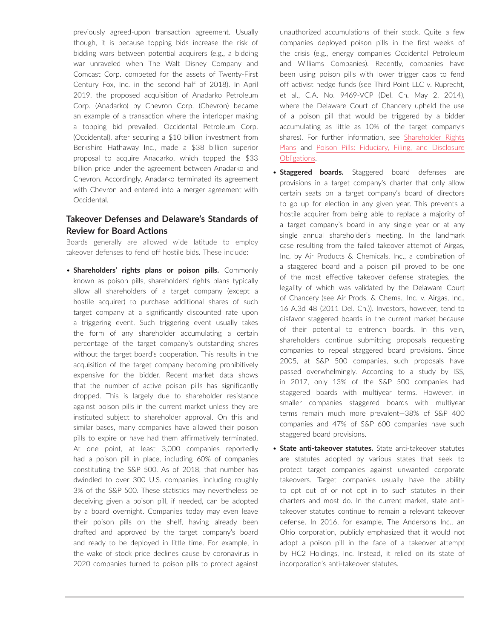previously agreed-upon transaction agreement. Usually though, it is because topping bids increase the risk of bidding wars between potential acquirers (e.g., a bidding war unraveled when The Walt Disney Company and Comcast Corp. competed for the assets of Twenty-First Century Fox, Inc. in the second half of 2018). In April 2019, the proposed acquisition of Anadarko Petroleum Corp. (Anadarko) by Chevron Corp. (Chevron) became an example of a transaction where the interloper making a topping bid prevailed. Occidental Petroleum Corp. (Occidental), after securing a \$10 billion investment from Berkshire Hathaway Inc., made a \$38 billion superior proposal to acquire Anadarko, which topped the \$33 billion price under the agreement between Anadarko and Chevron. Accordingly, Anadarko terminated its agreement with Chevron and entered into a merger agreement with Occidental.

### **Takeover Defenses and Delaware's Standards of Review for Board Actions**

Boards generally are allowed wide latitude to employ takeover defenses to fend off hostile bids. These include:

• **Shareholders' rights plans or poison pills.** Commonly known as poison pills, shareholders' rights plans typically allow all shareholders of a target company (except a hostile acquirer) to purchase additional shares of such target company at a significantly discounted rate upon a triggering event. Such triggering event usually takes the form of any shareholder accumulating a certain percentage of the target company's outstanding shares without the target board's cooperation. This results in the acquisition of the target company becoming prohibitively expensive for the bidder. Recent market data shows that the number of active poison pills has significantly dropped. This is largely due to shareholder resistance against poison pills in the current market unless they are instituted subject to shareholder approval. On this and similar bases, many companies have allowed their poison pills to expire or have had them affirmatively terminated. At one point, at least 3,000 companies reportedly had a poison pill in place, including 60% of companies constituting the S&P 500. As of 2018, that number has dwindled to over 300 U.S. companies, including roughly 3% of the S&P 500. These statistics may nevertheless be deceiving given a poison pill, if needed, can be adopted by a board overnight. Companies today may even leave their poison pills on the shelf, having already been drafted and approved by the target company's board and ready to be deployed in little time. For example, in the wake of stock price declines cause by coronavirus in 2020 companies turned to poison pills to protect against unauthorized accumulations of their stock. Quite a few companies deployed poison pills in the first weeks of the crisis (e.g., energy companies Occidental Petroleum and Williams Companies). Recently, companies have been using poison pills with lower trigger caps to fend off activist hedge funds (see Third Point LLC v. Ruprecht, et al., C.A. No. 9469-VCP (Del. Ch. May 2, 2014), where the Delaware Court of Chancery upheld the use of a poison pill that would be triggered by a bidder accumulating as little as 10% of the target company's shares). For further information, see [Shareholder Rights](https://advance.lexis.com/open/document/lpadocument/?pdmfid=1000522&pddocfullpath=%2Fshared%2Fdocument%2Fanalytical-materials%2Furn%3AcontentItem%3A5H4V-2VX1-FC6N-X3WG-00000-00&pdcontentcomponentid=101206&pdteaserkey=sr0&pditab=allpods&ecomp=xtrg&earg=sr0)  [Plans](https://advance.lexis.com/open/document/lpadocument/?pdmfid=1000522&pddocfullpath=%2Fshared%2Fdocument%2Fanalytical-materials%2Furn%3AcontentItem%3A5H4V-2VX1-FC6N-X3WG-00000-00&pdcontentcomponentid=101206&pdteaserkey=sr0&pditab=allpods&ecomp=xtrg&earg=sr0) and [Poison Pills: Fiduciary, Filing, and Disclosure](https://advance.lexis.com/open/document/lpadocument/?pdmfid=1000522&pddocfullpath=%2Fshared%2Fdocument%2Fanalytical-materials%2Furn%3AcontentItem%3A5H4V-2VX1-FC6N-X3WF-00000-00&pdcontentcomponentid=101206&pdteaserkey=sr0&pditab=allpods&ecomp=xtrg&earg=sr0)  [Obligations.](https://advance.lexis.com/open/document/lpadocument/?pdmfid=1000522&pddocfullpath=%2Fshared%2Fdocument%2Fanalytical-materials%2Furn%3AcontentItem%3A5H4V-2VX1-FC6N-X3WF-00000-00&pdcontentcomponentid=101206&pdteaserkey=sr0&pditab=allpods&ecomp=xtrg&earg=sr0)

- **Staggered boards.** Staggered board defenses are provisions in a target company's charter that only allow certain seats on a target company's board of directors to go up for election in any given year. This prevents a hostile acquirer from being able to replace a majority of a target company's board in any single year or at any single annual shareholder's meeting. In the landmark case resulting from the failed takeover attempt of Airgas, Inc. by Air Products & Chemicals, Inc., a combination of a staggered board and a poison pill proved to be one of the most effective takeover defense strategies, the legality of which was validated by the Delaware Court of Chancery (see Air Prods. & Chems., Inc. v. Airgas, Inc., 16 A.3d 48 (2011 Del. Ch.)). Investors, however, tend to disfavor staggered boards in the current market because of their potential to entrench boards. In this vein, shareholders continue submitting proposals requesting companies to repeal staggered board provisions. Since 2005, at S&P 500 companies, such proposals have passed overwhelmingly. According to a study by ISS, in 2017, only 13% of the S&P 500 companies had staggered boards with multiyear terms. However, in smaller companies staggered boards with multiyear terms remain much more prevalent—38% of S&P 400 companies and 47% of S&P 600 companies have such staggered board provisions.
- **State anti-takeover statutes.** State anti-takeover statutes are statutes adopted by various states that seek to protect target companies against unwanted corporate takeovers. Target companies usually have the ability to opt out of or not opt in to such statutes in their charters and most do. In the current market, state antitakeover statutes continue to remain a relevant takeover defense. In 2016, for example, The Andersons Inc., an Ohio corporation, publicly emphasized that it would not adopt a poison pill in the face of a takeover attempt by HC2 Holdings, Inc. Instead, it relied on its state of incorporation's anti-takeover statutes.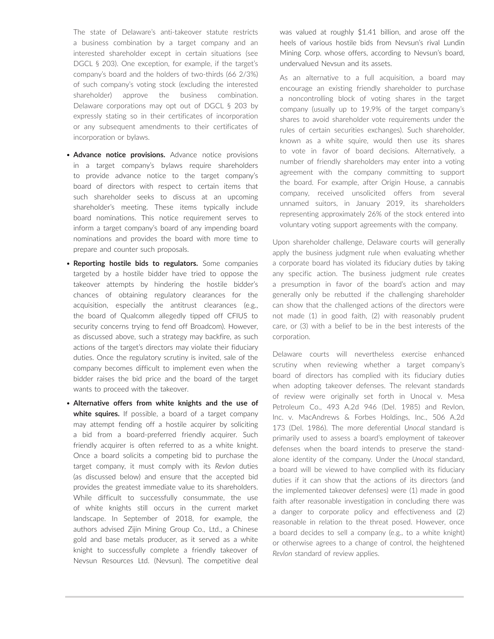The state of Delaware's anti-takeover statute restricts a business combination by a target company and an interested shareholder except in certain situations (see DGCL § 203). One exception, for example, if the target's company's board and the holders of two-thirds (66 2/3%) of such company's voting stock (excluding the interested shareholder) approve the business combination. Delaware corporations may opt out of DGCL § 203 by expressly stating so in their certificates of incorporation or any subsequent amendments to their certificates of incorporation or bylaws.

- **Advance notice provisions.** Advance notice provisions in a target company's bylaws require shareholders to provide advance notice to the target company's board of directors with respect to certain items that such shareholder seeks to discuss at an upcoming shareholder's meeting. These items typically include board nominations. This notice requirement serves to inform a target company's board of any impending board nominations and provides the board with more time to prepare and counter such proposals.
- **Reporting hostile bids to regulators.** Some companies targeted by a hostile bidder have tried to oppose the takeover attempts by hindering the hostile bidder's chances of obtaining regulatory clearances for the acquisition, especially the antitrust clearances (e.g., the board of Qualcomm allegedly tipped off CFIUS to security concerns trying to fend off Broadcom). However, as discussed above, such a strategy may backfire, as such actions of the target's directors may violate their fiduciary duties. Once the regulatory scrutiny is invited, sale of the company becomes difficult to implement even when the bidder raises the bid price and the board of the target wants to proceed with the takeover.
- **Alternative offers from white knights and the use of white squires.** If possible, a board of a target company may attempt fending off a hostile acquirer by soliciting a bid from a board-preferred friendly acquirer. Such friendly acquirer is often referred to as a white knight. Once a board solicits a competing bid to purchase the target company, it must comply with its *Revlon* duties (as discussed below) and ensure that the accepted bid provides the greatest immediate value to its shareholders. While difficult to successfully consummate, the use of white knights still occurs in the current market landscape. In September of 2018, for example, the authors advised Zijin Mining Group Co., Ltd., a Chinese gold and base metals producer, as it served as a white knight to successfully complete a friendly takeover of Nevsun Resources Ltd. (Nevsun). The competitive deal

was valued at roughly \$1.41 billion, and arose off the heels of various hostile bids from Nevsun's rival Lundin Mining Corp. whose offers, according to Nevsun's board, undervalued Nevsun and its assets.

As an alternative to a full acquisition, a board may encourage an existing friendly shareholder to purchase a noncontrolling block of voting shares in the target company (usually up to 19.9% of the target company's shares to avoid shareholder vote requirements under the rules of certain securities exchanges). Such shareholder, known as a white squire, would then use its shares to vote in favor of board decisions. Alternatively, a number of friendly shareholders may enter into a voting agreement with the company committing to support the board. For example, after Origin House, a cannabis company, received unsolicited offers from several unnamed suitors, in January 2019, its shareholders representing approximately 26% of the stock entered into voluntary voting support agreements with the company.

Upon shareholder challenge, Delaware courts will generally apply the business judgment rule when evaluating whether a corporate board has violated its fiduciary duties by taking any specific action. The business judgment rule creates a presumption in favor of the board's action and may generally only be rebutted if the challenging shareholder can show that the challenged actions of the directors were not made (1) in good faith, (2) with reasonably prudent care, or (3) with a belief to be in the best interests of the corporation.

Delaware courts will nevertheless exercise enhanced scrutiny when reviewing whether a target company's board of directors has complied with its fiduciary duties when adopting takeover defenses. The relevant standards of review were originally set forth in Unocal v. Mesa Petroleum Co., 493 A.2d 946 (Del. 1985) and Revlon, Inc. v. MacAndrews & Forbes Holdings, Inc., 506 A.2d 173 (Del. 1986). The more deferential *Unocal* standard is primarily used to assess a board's employment of takeover defenses when the board intends to preserve the standalone identity of the company. Under the *Unocal* standard, a board will be viewed to have complied with its fiduciary duties if it can show that the actions of its directors (and the implemented takeover defenses) were (1) made in good faith after reasonable investigation in concluding there was a danger to corporate policy and effectiveness and (2) reasonable in relation to the threat posed. However, once a board decides to sell a company (e.g., to a white knight) or otherwise agrees to a change of control, the heightened *Revlon* standard of review applies.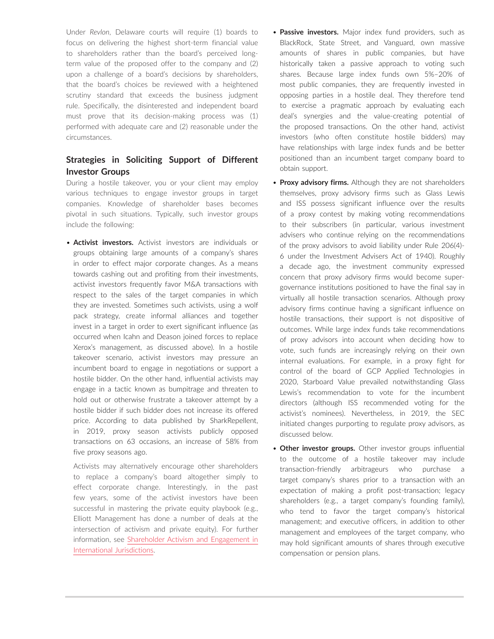Under *Revlon*, Delaware courts will require (1) boards to focus on delivering the highest short-term financial value to shareholders rather than the board's perceived longterm value of the proposed offer to the company and (2) upon a challenge of a board's decisions by shareholders, that the board's choices be reviewed with a heightened scrutiny standard that exceeds the business judgment rule. Specifically, the disinterested and independent board must prove that its decision-making process was (1) performed with adequate care and (2) reasonable under the circumstances.

### **Strategies in Soliciting Support of Different Investor Groups**

During a hostile takeover, you or your client may employ various techniques to engage investor groups in target companies. Knowledge of shareholder bases becomes pivotal in such situations. Typically, such investor groups include the following:

• **Activist investors.** Activist investors are individuals or groups obtaining large amounts of a company's shares in order to effect major corporate changes. As a means towards cashing out and profiting from their investments, activist investors frequently favor M&A transactions with respect to the sales of the target companies in which they are invested. Sometimes such activists, using a wolf pack strategy, create informal alliances and together invest in a target in order to exert significant influence (as occurred when Icahn and Deason joined forces to replace Xerox's management, as discussed above). In a hostile takeover scenario, activist investors may pressure an incumbent board to engage in negotiations or support a hostile bidder. On the other hand, influential activists may engage in a tactic known as bumpitrage and threaten to hold out or otherwise frustrate a takeover attempt by a hostile bidder if such bidder does not increase its offered price. According to data published by SharkRepellent, in 2019, proxy season activists publicly opposed transactions on 63 occasions, an increase of 58% from five proxy seasons ago.

Activists may alternatively encourage other shareholders to replace a company's board altogether simply to effect corporate change. Interestingly, in the past few years, some of the activist investors have been successful in mastering the private equity playbook (e.g., Elliott Management has done a number of deals at the intersection of activism and private equity). For further information, see [Shareholder Activism and Engagement in](https://advance.lexis.com/open/document/lpadocument/?pdmfid=1000522&pddocfullpath=%2Fshared%2Fdocument%2Fanalytical-materials%2Furn%3AcontentItem%3A5STX-3RK1-FCK4-G3VJ-00000-00&pdcontentcomponentid=102981&pdteaserkey=sr0&pditab=allpods&ecomp=xtrg&earg=sr0)  [International Jurisdictions](https://advance.lexis.com/open/document/lpadocument/?pdmfid=1000522&pddocfullpath=%2Fshared%2Fdocument%2Fanalytical-materials%2Furn%3AcontentItem%3A5STX-3RK1-FCK4-G3VJ-00000-00&pdcontentcomponentid=102981&pdteaserkey=sr0&pditab=allpods&ecomp=xtrg&earg=sr0).

- **Passive investors.** Major index fund providers, such as BlackRock, State Street, and Vanguard, own massive amounts of shares in public companies, but have historically taken a passive approach to voting such shares. Because large index funds own 5%–20% of most public companies, they are frequently invested in opposing parties in a hostile deal. They therefore tend to exercise a pragmatic approach by evaluating each deal's synergies and the value-creating potential of the proposed transactions. On the other hand, activist investors (who often constitute hostile bidders) may have relationships with large index funds and be better positioned than an incumbent target company board to obtain support.
- **Proxy advisory firms.** Although they are not shareholders themselves, proxy advisory firms such as Glass Lewis and ISS possess significant influence over the results of a proxy contest by making voting recommendations to their subscribers (in particular, various investment advisers who continue relying on the recommendations of the proxy advisors to avoid liability under Rule 206(4)- 6 under the Investment Advisers Act of 1940). Roughly a decade ago, the investment community expressed concern that proxy advisory firms would become supergovernance institutions positioned to have the final say in virtually all hostile transaction scenarios. Although proxy advisory firms continue having a significant influence on hostile transactions, their support is not dispositive of outcomes. While large index funds take recommendations of proxy advisors into account when deciding how to vote, such funds are increasingly relying on their own internal evaluations. For example, in a proxy fight for control of the board of GCP Applied Technologies in 2020, Starboard Value prevailed notwithstanding Glass Lewis's recommendation to vote for the incumbent directors (although ISS recommended voting for the activist's nominees). Nevertheless, in 2019, the SEC initiated changes purporting to regulate proxy advisors, as discussed below.
- **Other investor groups.** Other investor groups influential to the outcome of a hostile takeover may include transaction-friendly arbitrageurs who purchase a target company's shares prior to a transaction with an expectation of making a profit post-transaction; legacy shareholders (e.g., a target company's founding family), who tend to favor the target company's historical management; and executive officers, in addition to other management and employees of the target company, who may hold significant amounts of shares through executive compensation or pension plans.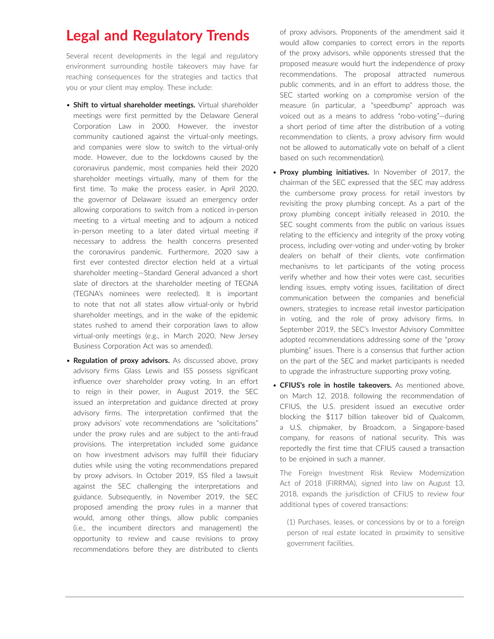# **Legal and Regulatory Trends**

Several recent developments in the legal and regulatory environment surrounding hostile takeovers may have far reaching consequences for the strategies and tactics that you or your client may employ. These include:

- **Shift to virtual shareholder meetings.** Virtual shareholder meetings were first permitted by the Delaware General Corporation Law in 2000. However, the investor community cautioned against the virtual-only meetings, and companies were slow to switch to the virtual-only mode. However, due to the lockdowns caused by the coronavirus pandemic, most companies held their 2020 shareholder meetings virtually, many of them for the first time. To make the process easier, in April 2020, the governor of Delaware issued an emergency order allowing corporations to switch from a noticed in-person meeting to a virtual meeting and to adjourn a noticed in-person meeting to a later dated virtual meeting if necessary to address the health concerns presented the coronavirus pandemic. Furthermore, 2020 saw a first ever contested director election held at a virtual shareholder meeting—Standard General advanced a short slate of directors at the shareholder meeting of TEGNA (TEGNA's nominees were reelected). It is important to note that not all states allow virtual-only or hybrid shareholder meetings, and in the wake of the epidemic states rushed to amend their corporation laws to allow virtual-only meetings (e.g., in March 2020, New Jersey Business Corporation Act was so amended).
- **Regulation of proxy advisors.** As discussed above, proxy advisory firms Glass Lewis and ISS possess significant influence over shareholder proxy voting. In an effort to reign in their power, in August 2019, the SEC issued an interpretation and guidance directed at proxy advisory firms. The interpretation confirmed that the proxy advisors' vote recommendations are "solicitations" under the proxy rules and are subject to the anti-fraud provisions. The interpretation included some guidance on how investment advisors may fulfill their fiduciary duties while using the voting recommendations prepared by proxy advisors. In October 2019, ISS filed a lawsuit against the SEC challenging the interpretations and guidance. Subsequently, in November 2019, the SEC proposed amending the proxy rules in a manner that would, among other things, allow public companies (i.e., the incumbent directors and management) the opportunity to review and cause revisions to proxy recommendations before they are distributed to clients

of proxy advisors. Proponents of the amendment said it would allow companies to correct errors in the reports of the proxy advisors, while opponents stressed that the proposed measure would hurt the independence of proxy recommendations. The proposal attracted numerous public comments, and in an effort to address those, the SEC started working on a compromise version of the measure (in particular, a "speedbump" approach was voiced out as a means to address "robo-voting"—during a short period of time after the distribution of a voting recommendation to clients, a proxy advisory firm would not be allowed to automatically vote on behalf of a client based on such recommendation).

- **Proxy plumbing initiatives.** In November of 2017, the chairman of the SEC expressed that the SEC may address the cumbersome proxy process for retail investors by revisiting the proxy plumbing concept. As a part of the proxy plumbing concept initially released in 2010, the SEC sought comments from the public on various issues relating to the efficiency and integrity of the proxy voting process, including over-voting and under-voting by broker dealers on behalf of their clients, vote confirmation mechanisms to let participants of the voting process verify whether and how their votes were cast, securities lending issues, empty voting issues, facilitation of direct communication between the companies and beneficial owners, strategies to increase retail investor participation in voting, and the role of proxy advisory firms. In September 2019, the SEC's Investor Advisory Committee adopted recommendations addressing some of the "proxy plumbing" issues. There is a consensus that further action on the part of the SEC and market participants is needed to upgrade the infrastructure supporting proxy voting.
- **CFIUS's role in hostile takeovers.** As mentioned above, on March 12, 2018, following the recommendation of CFIUS, the U.S. president issued an executive order blocking the \$117 billion takeover bid of Qualcomm, a U.S. chipmaker, by Broadcom, a Singapore-based company, for reasons of national security. This was reportedly the first time that CFIUS caused a transaction to be enjoined in such a manner.

The Foreign Investment Risk Review Modernization Act of 2018 (FIRRMA), signed into law on August 13, 2018, expands the jurisdiction of CFIUS to review four additional types of covered transactions:

(1) Purchases, leases, or concessions by or to a foreign person of real estate located in proximity to sensitive government facilities.